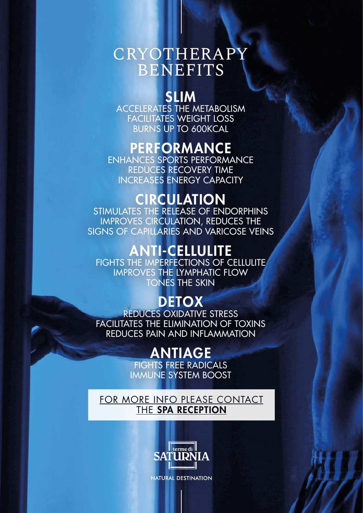# CRYOTHERAPY BENEFITS

### SLIM

ACCELERATES THE METABOLISM FACILITATES WEIGHT LOSS BURNS UP TO 600KCAL

# PERFORMANCE

ENHANCES SPORTS PERFORMANCE REDUCES RECOVERY TIME INCREASES ENERGY CAPACITY

# **CIRCULATION**

STIMULATES THE RELEASE OF ENDORPHINS IMPROVES CIRCULATION, REDUCES THE SIGNS OF CAPILLARIES AND VARICOSE VEINS

# ANTI-CELLULITE

FIGHTS THE IMPERFECTIONS OF CELLULITE IMPROVES THE LYMPHATIC FLOW TONES THE SKIN

# **DETOX**

REDUCES OXIDATIVE STRESS FACILITATES THE ELIMINATION OF TOXINS REDUCES PAIN AND INFLAMMATION

# ANTIAGE

FIGHTS FREE RADICALS IMMUNE SYSTEM BOOST

[FOR MORE INFO PLEASE CONTACT](mailto:Spa%40termedisaturnia.it?subject=Info%20on%20Cryotherapy) THE [SPA RECEPTION](mailto:Spa%40termedisaturnia.it?subject=Info%20on%20Cryotherapy)



**NATURAL DESTINATION**